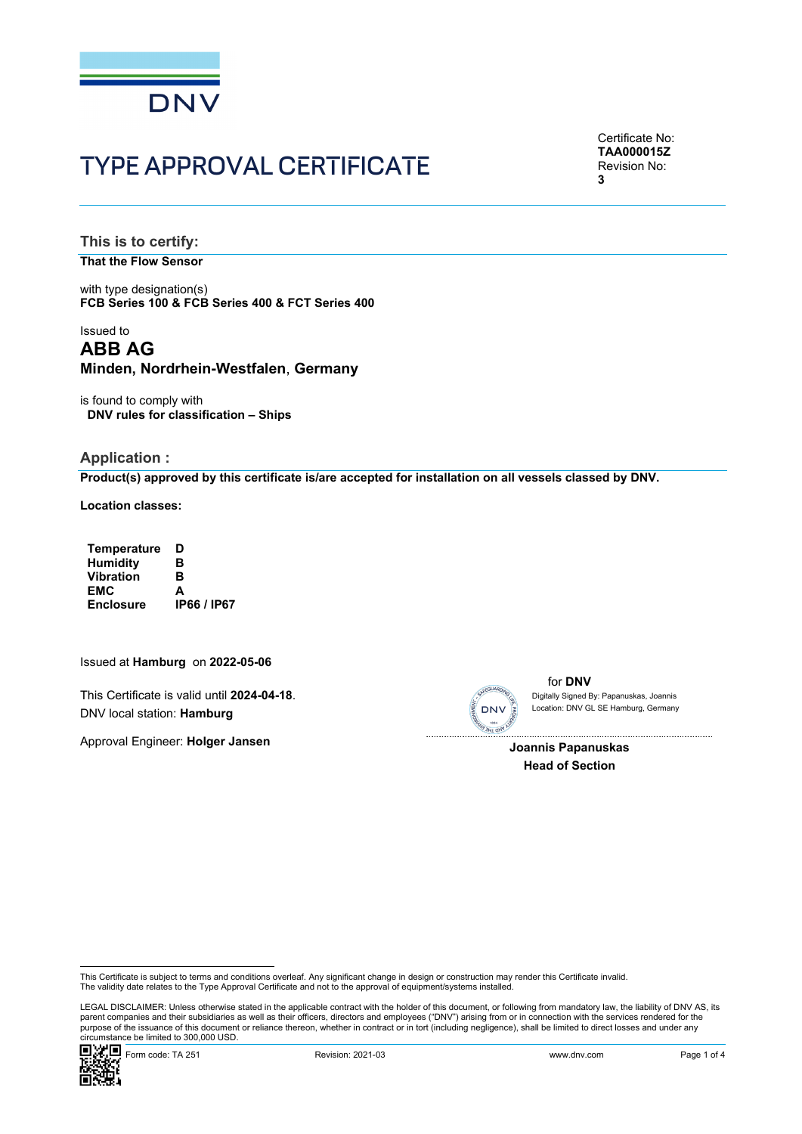

# TYPE APPROVAL CERTIFICATE

Certificate No: **TAA000015Z** Revision No: **3** 

**This is to certify:** 

**That the Flow Sensor**

with type designation(s) **FCB Series 100 & FCB Series 400 & FCT Series 400**

## Issued to **ABB AG Minden, Nordrhein-Westfalen**, **Germany**

is found to comply with **DNV rules for classification – Ships**

#### **Application :**

**Product(s) approved by this certificate is/are accepted for installation on all vessels classed by DNV.**

**Location classes:** 

| <b>Temperature</b> | D                  |
|--------------------|--------------------|
| <b>Humidity</b>    | в                  |
| <b>Vibration</b>   | в                  |
| EMC                | A                  |
| <b>Enclosure</b>   | <b>IP66 / IP67</b> |

Issued at **Hamburg** on **2022-05-06**

This Certificate is valid until **2024-04-18**. DNV local station: **Hamburg**

Approval Engineer: **Holger Jansen**



for **DNV** Location: DNV GL SE Hamburg, Germany Digitally Signed By: Papanuskas, Joannis

 $\overline{\phantom{a}}$ **Joannis Papanuskas Head of Section**

 LEGAL DISCLAIMER: Unless otherwise stated in the applicable contract with the holder of this document, or following from mandatory law, the liability of DNV AS, its parent companies and their subsidiaries as well as their officers, directors and employees ("DNV") arising from or in connection with the services rendered for the purpose of the issuance of this document or reliance thereon, whether in contract or in tort (including negligence), shall be limited to direct losses and under any circumstance be limited to 300,000 USD.



This Certificate is subject to terms and conditions overleaf. Any significant change in design or construction may render this Certificate invalid.<br>The validity date relates to the Type Approval Certificate and not to the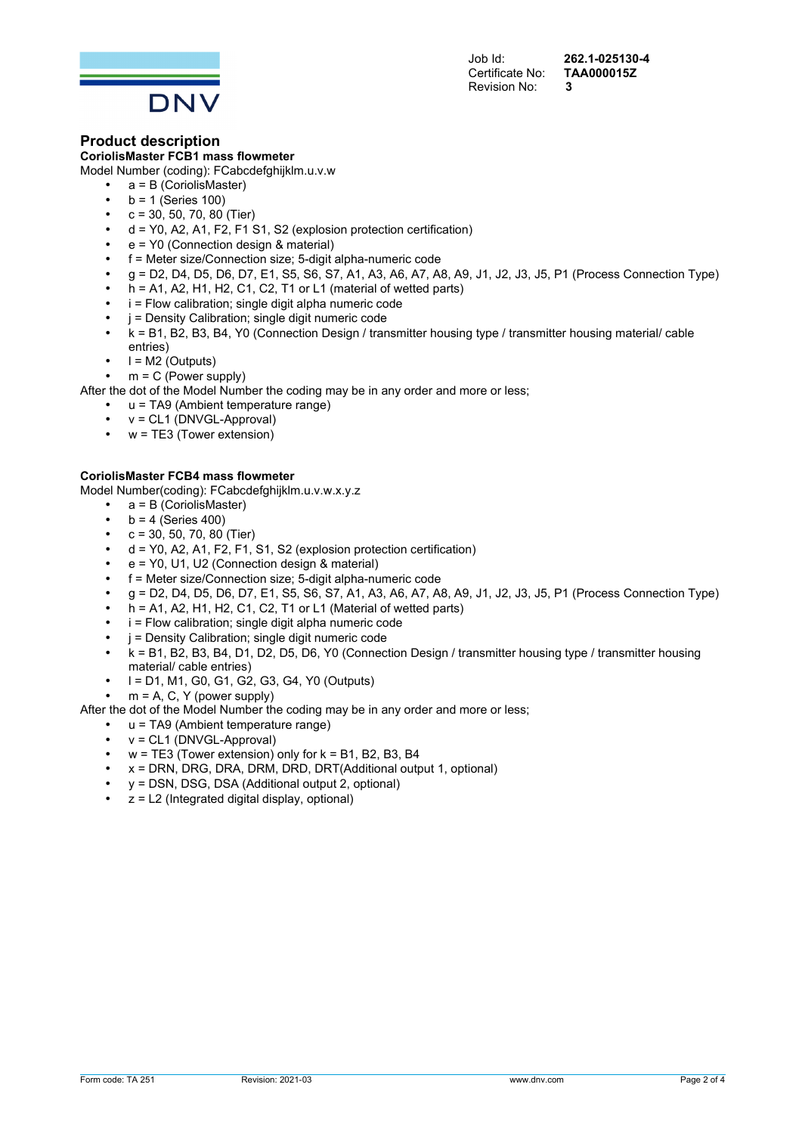Certificate No: Revision No: **3** 

Job Id: **262.1-025130-4** 



## **Product description**

**CoriolisMaster FCB1 mass flowmeter**

Model Number (coding): FCabcdefghijklm.u.v.w

- a = B (CoriolisMaster)
- $b = 1$  (Series 100)
- $c = 30, 50, 70, 80$  (Tier)
- d = Y0, A2, A1, F2, F1 S1, S2 (explosion protection certification)
- e = Y0 (Connection design & material)
- f = Meter size/Connection size; 5-digit alpha-numeric code
- g = D2, D4, D5, D6, D7, E1, S5, S6, S7, A1, A3, A6, A7, A8, A9, J1, J2, J3, J5, P1 (Process Connection Type)
- $\overline{h}$  = A1, A2, H1, H2, C1, C2, T1 or L1 (material of wetted parts)
- $i$  = Flow calibration; single digit alpha numeric code
- j = Density Calibration; single digit numeric code
- k = B1, B2, B3, B4, Y0 (Connection Design / transmitter housing type / transmitter housing material/ cable entries)
- $I = M2$  (Outputs)

 $m = C$  (Power supply)

After the dot of the Model Number the coding may be in any order and more or less;

- $u = TA9$  (Ambient temperature range)
- v = CL1 (DNVGL-Approval)
- $w = TE3$  (Tower extension)
- 

**CoriolisMaster FCB4 mass flowmeter** Model Number(coding): FCabcdefghijklm.u.v.w.x.y.z

- $\bullet$  a = B (CoriolisMaster)
	- $\bullet$  b = 4 (Series 400)
	- $c = 30, 50, 70, 80$  (Tier)
	- $d = Y0$ , A2, A1, F2, F1, S1, S2 (explosion protection certification)
	- e = Y0, U1, U2 (Connection design & material)
	- f = Meter size/Connection size; 5-digit alpha-numeric code
	- g = D2, D4, D5, D6, D7, E1, S5, S6, S7, A1, A3, A6, A7, A8, A9, J1, J2, J3, J5, P1 (Process Connection Type)
	- h = A1, A2, H1, H2, C1, C2, T1 or L1 (Material of wetted parts)
	- $i$  = Flow calibration; single digit alpha numeric code
	- $i =$  Density Calibration; single digit numeric code
	- k = B1, B2, B3, B4, D1, D2, D5, D6, Y0 (Connection Design / transmitter housing type / transmitter housing material/ cable entries)
	- l = D1, M1, G0, G1, G2, G3, G4, Y0 (Outputs)
	- $m = A$ , C, Y (power supply)
- After the dot of the Model Number the coding may be in any order and more or less;
	- u = TA9 (Ambient temperature range)
	- v = CL1 (DNVGL-Approval)
	- $w = TE3$  (Tower extension) only for  $k = B1$ , B2, B3, B4
	- $x = DRN$ , DRG, DRA, DRM, DRD, DRT(Additional output 1, optional)
	- y = DSN, DSG, DSA (Additional output 2, optional)
	- $z = L2$  (Integrated digital display, optional)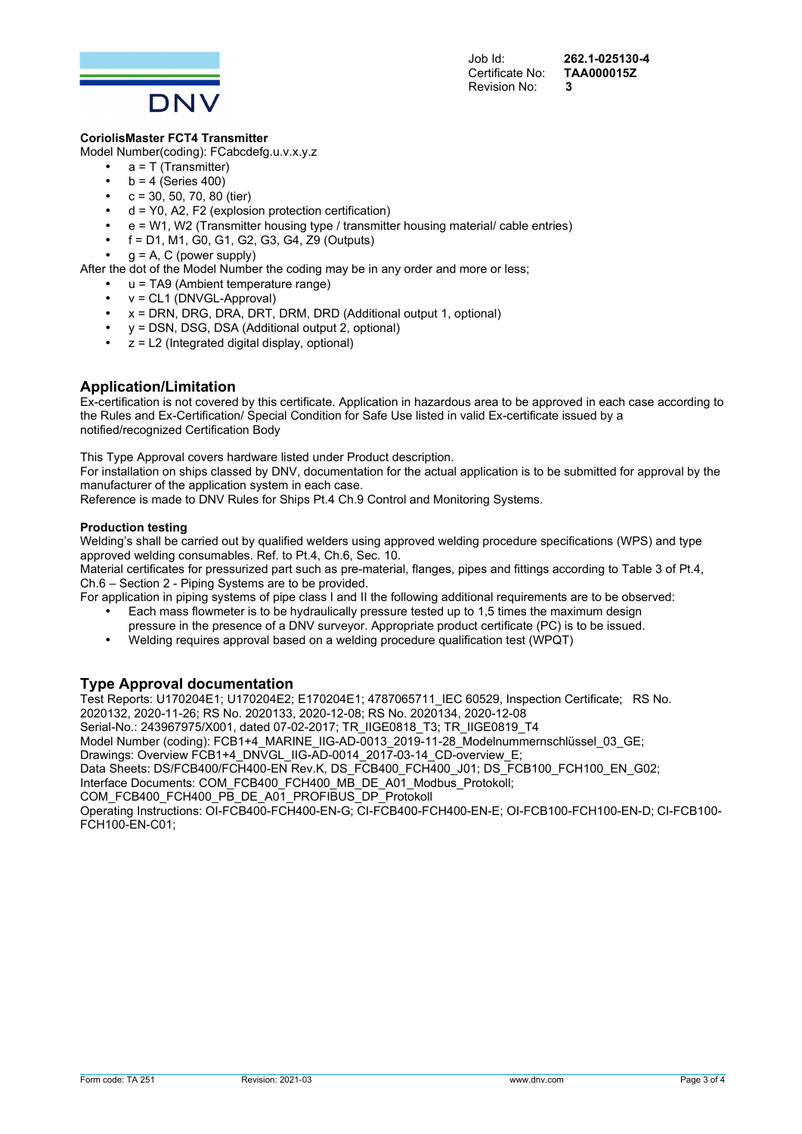

Job Id: **262.1-025130-4** 

## **CoriolisMaster FCT4 Transmitter**

Model Number(coding): FCabcdefg.u.v.x.y.z

- $a = T$  (Transmitter)
- $b = 4$  (Series 400)
- $c = 30, 50, 70, 80$  (tier)
- $d = Y0$ , A2, F2 (explosion protection certification)
- e = W1, W2 (Transmitter housing type / transmitter housing material/ cable entries)
- $f = D1$ , M1, G0, G1, G2, G3, G4, Z9 (Outputs)

 $g = A$ , C (power supply)

After the dot of the Model Number the coding may be in any order and more or less;

- u = TA9 (Ambient temperature range)
- v = CL1 (DNVGL-Approval)
- $x = DRN$ , DRG, DRA, DRT, DRM, DRD (Additional output 1, optional)
- y = DSN, DSG, DSA (Additional output 2, optional)
- $z = L2$  (Integrated digital display, optional)

## **Application/Limitation**

Ex-certification is not covered by this certificate. Application in hazardous area to be approved in each case according to the Rules and Ex-Certification/ Special Condition for Safe Use listed in valid Ex-certificate issued by a notified/recognized Certification Body

This Type Approval covers hardware listed under Product description.

For installation on ships classed by DNV, documentation for the actual application is to be submitted for approval by the manufacturer of the application system in each case.

Reference is made to DNV Rules for Ships Pt.4 Ch.9 Control and Monitoring Systems.

#### **Production testing**

Welding's shall be carried out by qualified welders using approved welding procedure specifications (WPS) and type approved welding consumables. Ref. to Pt.4, Ch.6, Sec. 10.

Material certificates for pressurized part such as pre-material, flanges, pipes and fittings according to Table 3 of Pt.4, Ch.6 – Section 2 - Piping Systems are to be provided.

For application in piping systems of pipe class I and II the following additional requirements are to be observed: • Each mass flowmeter is to be hydraulically pressure tested up to 1,5 times the maximum design

- pressure in the presence of a DNV surveyor. Appropriate product certificate (PC) is to be issued.
- Welding requires approval based on a welding procedure qualification test (WPQT)

## **Type Approval documentation**

Test Reports: U170204E1; U170204E2; E170204E1; 4787065711\_IEC 60529, Inspection Certificate; RS No. 2020132, 2020-11-26; RS No. 2020133, 2020-12-08; RS No. 2020134, 2020-12-08 Serial-No.: 243967975/X001, dated 07-02-2017; TR\_IIGE0818\_T3; TR\_IIGE0819\_T4 Model Number (coding): FCB1+4\_MARINE\_IIG-AD-0013\_2019-11-28\_Modelnummernschlüssel\_03\_GE; Drawings: Overview FCB1+4\_DNVGL\_IIG-AD-0014\_2017-03-14\_CD-overview\_E; Data Sheets: DS/FCB400/FCH400-EN Rev.K, DS\_FCB400\_FCH400\_J01; DS\_FCB100\_FCH100\_EN\_G02; Interface Documents: COM\_FCB400\_FCH400\_MB\_DE\_A01\_Modbus\_Protokoll; COM\_FCB400\_FCH400\_PB\_DE\_A01\_PROFIBUS\_DP\_Protokoll Operating Instructions: OI-FCB400-FCH400-EN-G; CI-FCB400-FCH400-EN-E; OI-FCB100-FCH100-EN-D; CI-FCB100- FCH100-EN-C01;